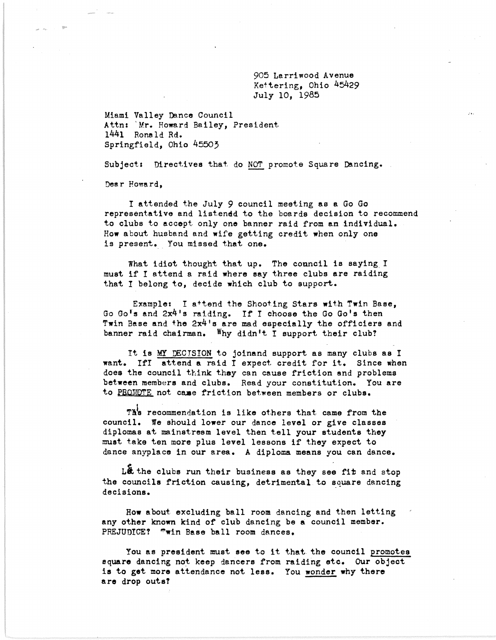905 Larriwood Avenue Kettering, Ohio 45429 July 10, 1985

Miami Valley Dance Council Attn: 'Mr. Howard Bailey, President. 1441 Ronald Rd. Springfield, Ohio 45503

Subject: Directives that do NOT promote Square Dancing.

Dear Howard,

I attended the July 9 council meeting as a Go Go representative and listened to the boards decision to recommend to clubs to accept only one banner raid from an individual. How about husband and wife getting credit when only one is present. You missed that one.

What idiot thought that up. The council is saying. I must if I attend a raid where say three clubs are raiding that I belong to, decide which club to support.

Example: I attend the Shooting Stars with Twin Base, Go Go's and 2x4's raiding. If I choose the Go Go's then Twin Base and the 2x4's are mad especially the officiers and banner raid chairman. Why didn't I support their club?

It is MY DECISION to joinand support as many clubs as I want. IfI attend a raid I expect credit for it. Since when does the council think they can cause friction and problems between members and clubs. Read your constitution. You are to PROMOTE not came friction between members or clubs.

Th's recommendation is like others that came from the council. We should lower our dance level or give classes diplomas at mainstream level then tell your students they must take ten more plus level lessons if they expect to dance anyplace in our area. A diploma means you can dance.

Let the clubs run their business as they see fit and stop the councils friction causing, detrimental to square dancing decisions.

How about excluding ball room dancing and then letting any other known kind of club dancing be a council member. PREJUDICE? "win Base ball room dances.

You as president must see to it that the council promotes square dancing not keep dancers from raiding etc. Our object is to get more attendance not less. You wonder why there are drop outs?